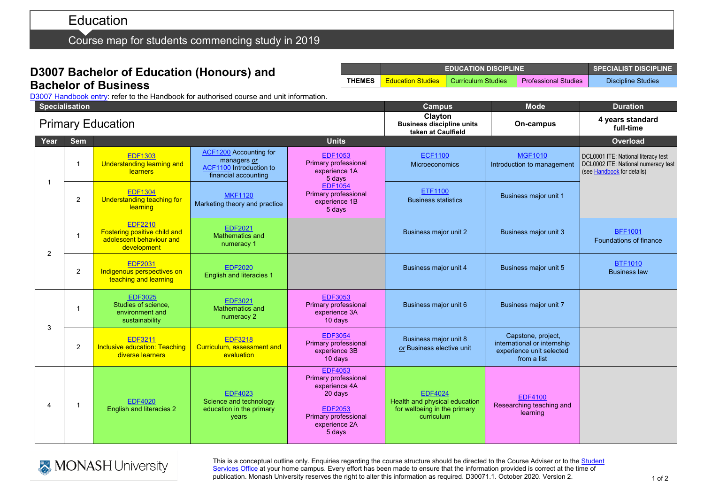# Education

Course map for students commencing study in 2019

### **D3007 Bachelor of Education (Honours) and Bachelor of Business**

**EDUCATION DISCIPLINE SPECIALIST DISCIPLINE THEMES** Education Studies Curriculum Studies Professional Studies Discipline Studies

D3007 [Handbook entry:](http://www.monash.edu.au/pubs/2019handbooks/courses/D3007.html) refer to the Handbook for authorised course and unit information.

|      | <b>Specialisation</b>   |                                                                                           |                                                                                                 | <b>Campus</b>                                                                                                                                  | <b>Mode</b>                                                                                   | <b>Duration</b>                                                                              |                                                                                                          |
|------|-------------------------|-------------------------------------------------------------------------------------------|-------------------------------------------------------------------------------------------------|------------------------------------------------------------------------------------------------------------------------------------------------|-----------------------------------------------------------------------------------------------|----------------------------------------------------------------------------------------------|----------------------------------------------------------------------------------------------------------|
|      |                         | <b>Primary Education</b>                                                                  |                                                                                                 | Clayton<br><b>Business discipline units</b><br>taken at Caulfield                                                                              | On-campus                                                                                     | 4 years standard<br>full-time                                                                |                                                                                                          |
| Year | <b>Sem</b>              |                                                                                           |                                                                                                 | <b>Units</b>                                                                                                                                   |                                                                                               |                                                                                              | <b>Overload</b>                                                                                          |
| -1   | $\overline{1}$          | <b>EDF1303</b><br><b>Understanding learning and</b><br>learners                           | <b>ACF1200</b> Accounting for<br>managers or<br>ACF1100 Introduction to<br>financial accounting | <b>EDF1053</b><br>Primary professional<br>experience 1A<br>5 days                                                                              | <b>ECF1100</b><br><b>Microeconomics</b>                                                       | <b>MGF1010</b><br>Introduction to management                                                 | DCL0001 ITE: National literacy test<br>DCL0002 ITE: National numeracy test<br>(see Handbook for details) |
|      | 2                       | <b>EDF1304</b><br>Understanding teaching for<br>learning                                  | <b>MKF1120</b><br>Marketing theory and practice                                                 | <b>EDF1054</b><br>Primary professional<br>experience 1B<br>5 days                                                                              | <b>ETF1100</b><br><b>Business statistics</b>                                                  | Business major unit 1                                                                        |                                                                                                          |
| 2    | $\overline{\mathbf{1}}$ | <b>EDF2210</b><br>Fostering positive child and<br>adolescent behaviour and<br>development | <b>EDF2021</b><br><b>Mathematics and</b><br>numeracy 1                                          |                                                                                                                                                | Business major unit 2                                                                         | <b>Business major unit 3</b>                                                                 | <b>BFF1001</b><br>Foundations of finance                                                                 |
|      | 2                       | <b>EDF2031</b><br>Indigenous perspectives on<br>teaching and learning                     | <b>EDF2020</b><br>English and literacies 1                                                      |                                                                                                                                                | <b>Business major unit 4</b>                                                                  | Business major unit 5                                                                        | <b>BTF1010</b><br><b>Business law</b>                                                                    |
| 3    | $\overline{1}$          | <b>EDF3025</b><br>Studies of science,<br>environment and<br>sustainability                | <b>EDF3021</b><br>Mathematics and<br>numeracy 2                                                 | <b>EDF3053</b><br>Primary professional<br>experience 3A<br>10 days                                                                             | Business major unit 6                                                                         | Business major unit 7                                                                        |                                                                                                          |
|      | 2                       | <b>EDF3211</b><br><b>Inclusive education: Teaching</b><br>diverse learners                | <b>EDF3218</b><br>Curriculum, assessment and<br>evaluation                                      | <b>EDF3054</b><br>Primary professional<br>experience 3B<br>10 days                                                                             | Business major unit 8<br>or Business elective unit                                            | Capstone, project,<br>international or internship<br>experience unit selected<br>from a list |                                                                                                          |
| 4    | -1                      | <b>EDF4020</b><br>English and literacies 2                                                | <b>EDF4023</b><br>Science and technology<br>education in the primary<br><b>years</b>            | <b>EDF4053</b><br>Primary professional<br>experience 4A<br>20 days<br><b>EDF2053</b><br><b>Primary professional</b><br>experience 2A<br>5 days | <b>EDF4024</b><br>Health and physical education<br>for wellbeing in the primary<br>curriculum | <b>EDF4100</b><br>Researching teaching and<br>learning                                       |                                                                                                          |



This is a conceptual outline only. Enquiries regarding the course structure should be directed to the Course Adviser or to the Student [Services Office](https://www.monash.edu/education/current-students/contact) at your home campus. Every effort has been made to ensure that the information provided is correct at the time of publication. Monash University reserves the right to alter this information as required. D30071.1. October 2020. Version 2.